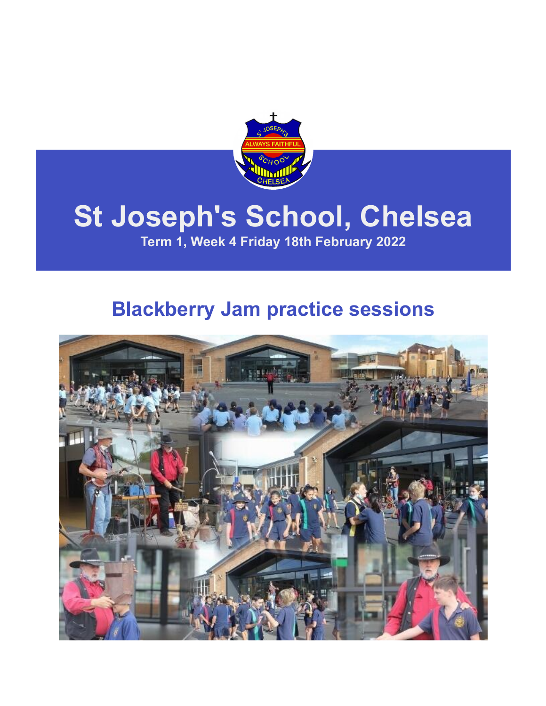

## **St Joseph's School, Chelsea**

**Term 1, Week 4 Friday 18th February 2022**

### **Blackberry Jam practice sessions**

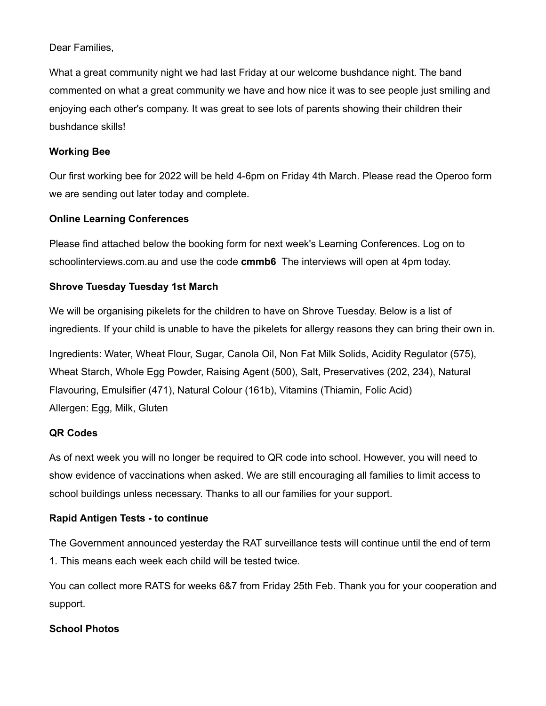Dear Families,

What a great community night we had last Friday at our welcome bushdance night. The band commented on what a great community we have and how nice it was to see people just smiling and enjoying each other's company. It was great to see lots of parents showing their children their bushdance skills!

#### **Working Bee**

Our first working bee for 2022 will be held 4-6pm on Friday 4th March. Please read the Operoo form we are sending out later today and complete.

### **Online Learning Conferences**

Please find attached below the booking form for next week's Learning Conferences. Log on to schoolinterviews.com.au and use the code **cmmb6** The interviews will open at 4pm today.

### **Shrove Tuesday Tuesday 1st March**

We will be organising pikelets for the children to have on Shrove Tuesday. Below is a list of ingredients. If your child is unable to have the pikelets for allergy reasons they can bring their own in.

Ingredients: Water, Wheat Flour, Sugar, Canola Oil, Non Fat Milk Solids, Acidity Regulator (575), Wheat Starch, Whole Egg Powder, Raising Agent (500), Salt, Preservatives (202, 234), Natural Flavouring, Emulsifier (471), Natural Colour (161b), Vitamins (Thiamin, Folic Acid) Allergen: Egg, Milk, Gluten

### **QR Codes**

As of next week you will no longer be required to QR code into school. However, you will need to show evidence of vaccinations when asked. We are still encouraging all families to limit access to school buildings unless necessary. Thanks to all our families for your support.

### **Rapid Antigen Tests - to continue**

The Government announced yesterday the RAT surveillance tests will continue until the end of term 1. This means each week each child will be tested twice.

You can collect more RATS for weeks 6&7 from Friday 25th Feb. Thank you for your cooperation and support.

### **School Photos**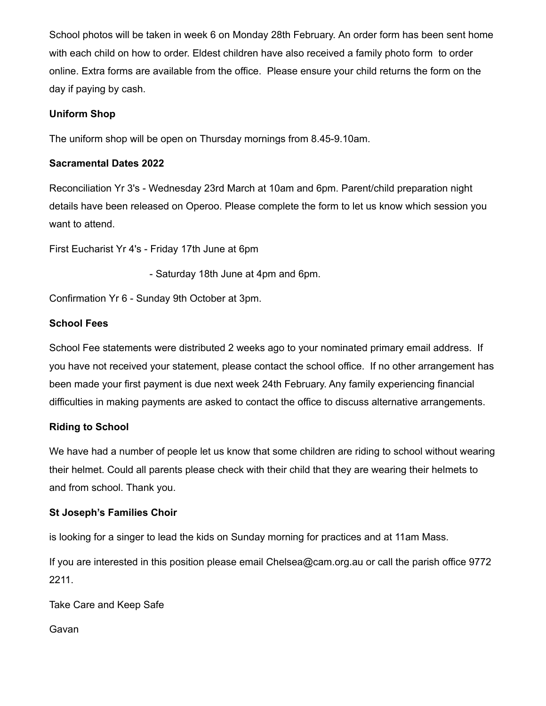School photos will be taken in week 6 on Monday 28th February. An order form has been sent home with each child on how to order. Eldest children have also received a family photo form to order online. Extra forms are available from the office. Please ensure your child returns the form on the day if paying by cash.

### **Uniform Shop**

The uniform shop will be open on Thursday mornings from 8.45-9.10am.

#### **Sacramental Dates 2022**

Reconciliation Yr 3's - Wednesday 23rd March at 10am and 6pm. Parent/child preparation night details have been released on Operoo. Please complete the form to let us know which session you want to attend.

First Eucharist Yr 4's - Friday 17th June at 6pm

- Saturday 18th June at 4pm and 6pm.

Confirmation Yr 6 - Sunday 9th October at 3pm.

#### **School Fees**

School Fee statements were distributed 2 weeks ago to your nominated primary email address. If you have not received your statement, please contact the school office. If no other arrangement has been made your first payment is due next week 24th February. Any family experiencing financial difficulties in making payments are asked to contact the office to discuss alternative arrangements.

### **Riding to School**

We have had a number of people let us know that some children are riding to school without wearing their helmet. Could all parents please check with their child that they are wearing their helmets to and from school. Thank you.

### **St Joseph's Families Choir**

is looking for a singer to lead the kids on Sunday morning for practices and at 11am Mass.

If you are interested in this position please email [Chelsea@cam.org.au](mailto:Chelsea@cam.org.au) or call the parish office 9772 2211.

Take Care and Keep Safe

Gavan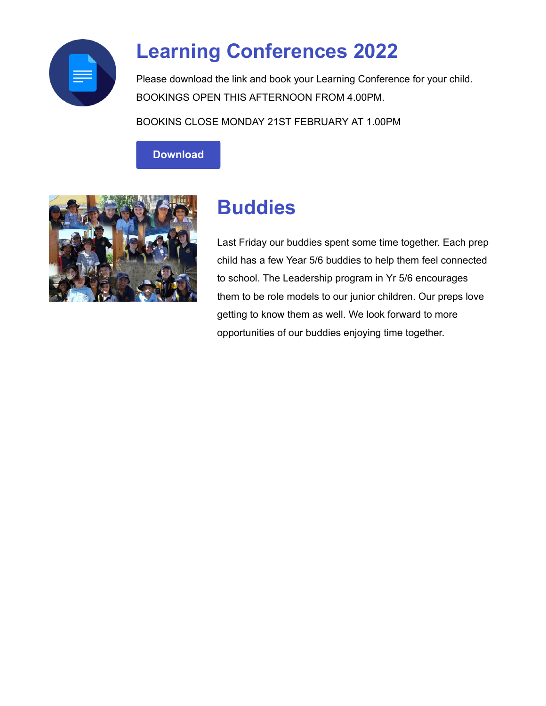

### **Learning Conferences 2022**

Please download the link and book your Learning Conference for your child. BOOKINGS OPEN THIS AFTERNOON FROM 4.00PM.

BOOKINS CLOSE MONDAY 21ST FEBRUARY AT 1.00PM

**[Download](https://enewsletter.skoolbag.com.au/download?file=/file_module/25213/file_download_25213_3904326351.pdf)**



### **Buddies**

Last Friday our buddies spent some time together. Each prep child has a few Year 5/6 buddies to help them feel connected to school. The Leadership program in Yr 5/6 encourages them to be role models to our junior children. Our preps love getting to know them as well. We look forward to more opportunities of our buddies enjoying time together.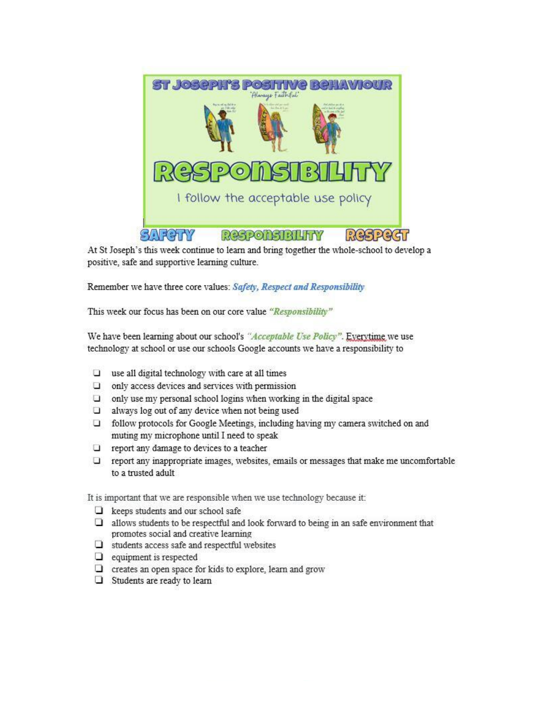

At St Joseph's this week continue to learn and bring together the whole-school to develop a positive, safe and supportive learning culture.

Remember we have three core values: Safety, Respect and Responsibility

This week our focus has been on our core value "Responsibility"

We have been learning about our school's "Acceptable Use Policy". Everytime we use technology at school or use our schools Google accounts we have a responsibility to

- $\Box$  use all digital technology with care at all times
- $\Box$  only access devices and services with permission
- $\Box$  only use my personal school logins when working in the digital space
- $\Box$  always log out of any device when not being used
- $\Box$  follow protocols for Google Meetings, including having my camera switched on and muting my microphone until I need to speak
- $\Box$  report any damage to devices to a teacher
- $\Box$  report any inappropriate images, websites, emails or messages that make me uncomfortable to a trusted adult

It is important that we are responsible when we use technology because it:

- $\Box$  keeps students and our school safe
- $\Box$  allows students to be respectful and look forward to being in an safe environment that promotes social and creative learning
- $\Box$  students access safe and respectful websites
- $\Box$  equipment is respected
- $\Box$  creates an open space for kids to explore, learn and grow
- $\Box$  Students are ready to learn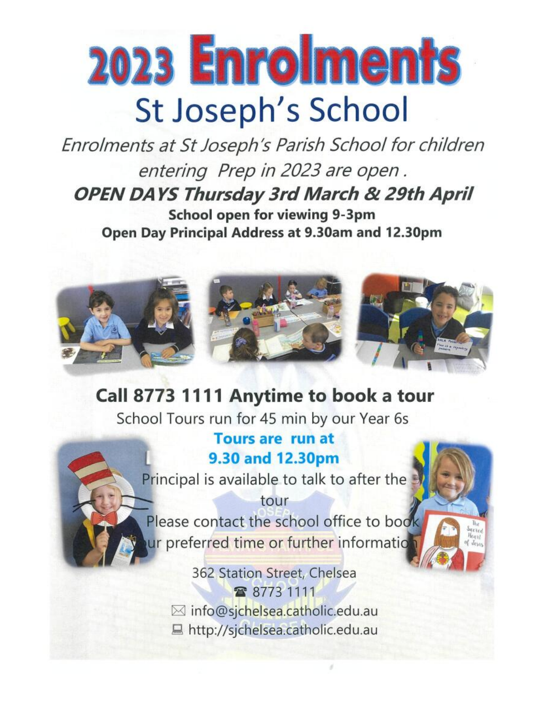# 2023 Enrolments St Joseph's School

Enrolments at St Joseph's Parish School for children entering Prep in 2023 are open. **OPEN DAYS Thursday 3rd March & 29th April** School open for viewing 9-3pm Open Day Principal Address at 9.30am and 12.30pm



### Call 8773 1111 Anytime to book a tour

School Tours run for 45 min by our Year 6s

### **Tours are run at** 9.30 and 12.30pm

Principal is available to talk to after the

tour Please contact the school office to book ur preferred time or further information

Sacres

362 Station Street, Chelsea 雷 8773 1111 ⊠ info@sjchelsea.catholic.edu.au ■ http://sjchelsea.catholic.edu.au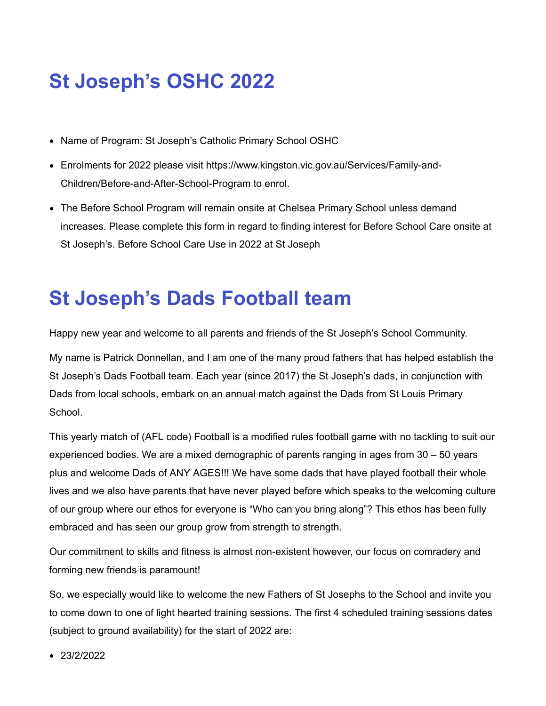### **St Joseph's OSHC 2022**

- Name of Program: St Joseph's Catholic Primary School OSHC
- [Enrolments for 2022 please visit https://www.kingston.vic.gov.au/Services/Family-and-](https://www.kingston.vic.gov.au/Services/Family-and-Children/Before-and-After-School-Program)Children/Before-and-After-School-Program to enrol.
- The Before School Program will remain onsite at Chelsea Primary School unless demand increases. Please complete this form in regard to finding interest for Before School Care onsite at St Joseph's. [Before School Care Use in 2022 at St Joseph](https://forms.gle/C3SnKUDZnK6oqNWg6)

### **St Joseph's Dads Football team**

Happy new year and welcome to all parents and friends of the St Joseph's School Community.

My name is Patrick Donnellan, and I am one of the many proud fathers that has helped establish the St Joseph's Dads Football team. Each year (since 2017) the St Joseph's dads, in conjunction with Dads from local schools, embark on an annual match against the Dads from St Louis Primary School.

This yearly match of (AFL code) Football is a modified rules football game with no tackling to suit our experienced bodies. We are a mixed demographic of parents ranging in ages from 30 – 50 years plus and welcome Dads of ANY AGES!!! We have some dads that have played football their whole lives and we also have parents that have never played before which speaks to the welcoming culture of our group where our ethos for everyone is "Who can you bring along"? This ethos has been fully embraced and has seen our group grow from strength to strength.

Our commitment to skills and fitness is almost non-existent however, our focus on comradery and forming new friends is paramount!

So, we especially would like to welcome the new Fathers of St Josephs to the School and invite you to come down to one of light hearted training sessions. The first 4 scheduled training sessions dates (subject to ground availability) for the start of 2022 are:

• 23/2/2022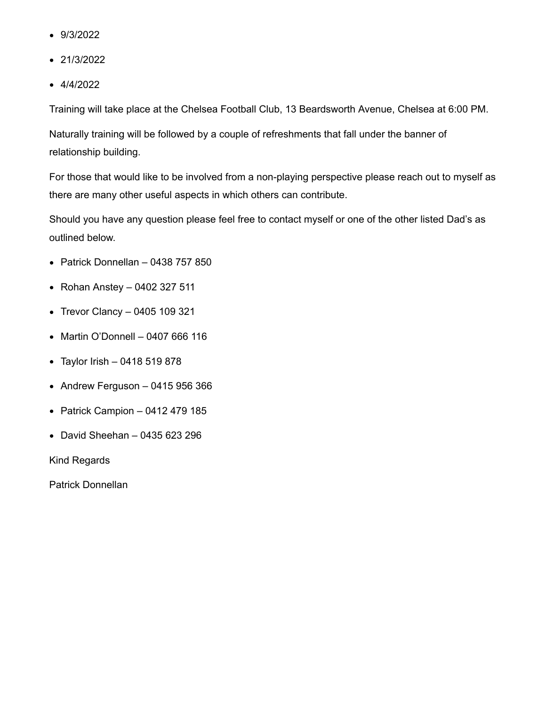- 9/3/2022
- 21/3/2022
- $-4/4/2022$

Training will take place at the Chelsea Football Club, 13 Beardsworth Avenue, Chelsea at 6:00 PM.

Naturally training will be followed by a couple of refreshments that fall under the banner of relationship building.

For those that would like to be involved from a non-playing perspective please reach out to myself as there are many other useful aspects in which others can contribute.

Should you have any question please feel free to contact myself or one of the other listed Dad's as outlined below.

- $\bullet$  Patrick Donnellan 0438 757 850
- Rohan Anstey 0402 327 511
- Trevor Clancy 0405 109 321
- Martin O'Donnell 0407 666 116
- Taylor Irish 0418 519 878
- Andrew Ferguson 0415 956 366
- Patrick Campion  $-0412479185$
- David Sheehan 0435 623 296

Kind Regards

Patrick Donnellan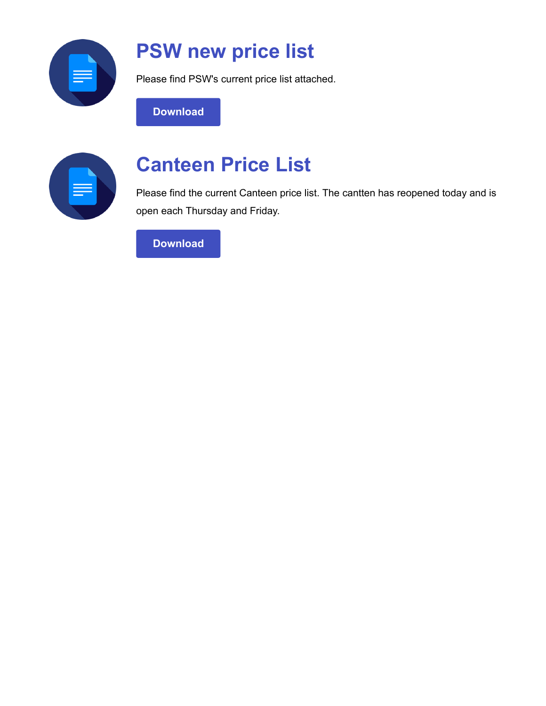

### **PSW new price list**

Please find PSW's current price list attached.

**[Download](https://enewsletter.coralcommunities.com/download?file=/file_module/23506/file_download_23506_4481462279.pdf)**

| $\sim$ |  |
|--------|--|
|        |  |

### **Canteen Price List**

Please find the current Canteen price list. The cantten has reopened today and is open each Thursday and Friday.

**[Download](https://enewsletter.coralcommunities.com/download?file=/file_module/25012/file_download_25012_574067271.pdf)**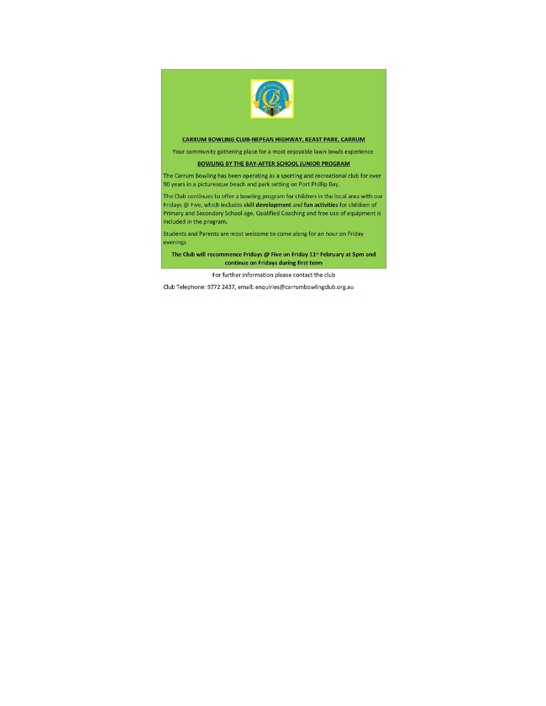

#### CARRUM BOWLING CLUB-NEPEAN HIGHWAY, KEAST PARK, CARRUM

Your community gathering place for a most enjoyable lawn bowls experience

#### **BOWLING BY THE BAY-AFTER SCHOOL JUNIOR PROGRAM**

The Carrum Bowling has been operating as a sporting and recreational club for over 90 years in a picturesque beach and park setting on Port Phillip Bay.

The Club continues to offer a bowling program for children in the local area with our Fridays @ Five, which includes skill development and fun activities for children of Primary and Secondary School age. Qualified Coaching and free use of equipment is included in the program.

Students and Parents are most welcome to come along for an hour on Friday evenings

The Club will recommence Fridays @ Five on Friday 11<sup>th</sup> February at 5pm and continue on Fridays during first term

For further information please contact the club

Club Telephone: 9772 2437, email: enquiries@carrumbowlingclub.org.au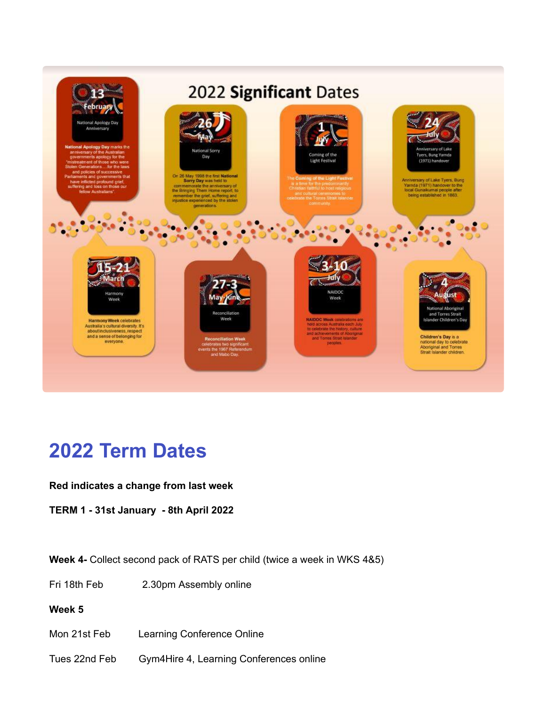

### **2022 Term Dates**

#### **Red indicates a change from last week**

**TERM 1 - 31st January - 8th April 2022**

**Week 4-** Collect second pack of RATS per child (twice a week in WKS 4&5)

Fri 18th Feb 2.30pm Assembly online

### **Week 5**

- Mon 21st Feb Learning Conference Online
- Tues 22nd Feb Gym4Hire 4, Learning Conferences online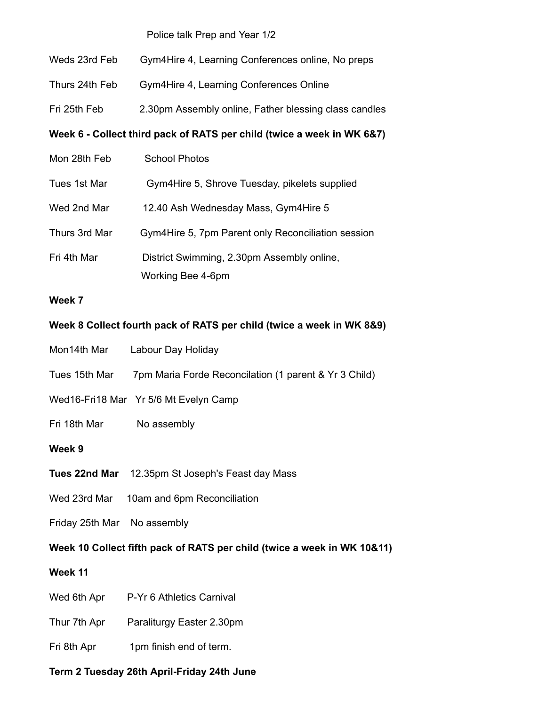Police talk Prep and Year 1/2

| Week 6 - Collect third pack of RATS per child (twice a week in WK 6&7) |                                                       |  |
|------------------------------------------------------------------------|-------------------------------------------------------|--|
| Fri 25th Feb                                                           | 2.30pm Assembly online, Father blessing class candles |  |
| Thurs 24th Feb                                                         | Gym4Hire 4, Learning Conferences Online               |  |
| Weds 23rd Feb                                                          | Gym4Hire 4, Learning Conferences online, No preps     |  |

| Mon 28th Feb  | <b>School Photos</b>                               |
|---------------|----------------------------------------------------|
| Tues 1st Mar  | Gym4Hire 5, Shrove Tuesday, pikelets supplied      |
| Wed 2nd Mar   | 12.40 Ash Wednesday Mass, Gym4Hire 5               |
| Thurs 3rd Mar | Gym4Hire 5, 7pm Parent only Reconciliation session |
| Fri 4th Mar   | District Swimming, 2.30pm Assembly online,         |
|               | Working Bee 4-6pm                                  |

#### **Week 7**

#### **Week 8 Collect fourth pack of RATS per child (twice a week in WK 8&9)**

- Mon14th Mar Labour Day Holiday
- Tues 15th Mar 7pm Maria Forde Reconcilation (1 parent & Yr 3 Child)
- Wed16-Fri18 Mar Yr 5/6 Mt Evelyn Camp
- Fri 18th Mar No assembly

#### **Week 9**

- **Tues 22nd Mar** 12.35pm St Joseph's Feast day Mass
- Wed 23rd Mar 10am and 6pm Reconciliation
- Friday 25th Mar No assembly

### **Week 10 Collect fifth pack of RATS per child (twice a week in WK 10&11)**

#### **Week 11**

- Wed 6th Apr P-Yr 6 Athletics Carnival
- Thur 7th Apr Paraliturgy Easter 2.30pm
- Fri 8th Apr 1pm finish end of term.

### **Term 2 Tuesday 26th April-Friday 24th June**